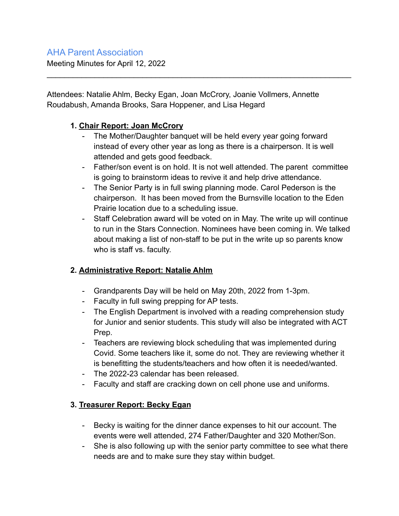Meeting Minutes for April 12, 2022

Attendees: Natalie Ahlm, Becky Egan, Joan McCrory, Joanie Vollmers, Annette Roudabush, Amanda Brooks, Sara Hoppener, and Lisa Hegard

 $\mathcal{L}_\text{max} = \mathcal{L}_\text{max} = \mathcal{L}_\text{max} = \mathcal{L}_\text{max} = \mathcal{L}_\text{max} = \mathcal{L}_\text{max} = \mathcal{L}_\text{max} = \mathcal{L}_\text{max} = \mathcal{L}_\text{max} = \mathcal{L}_\text{max} = \mathcal{L}_\text{max} = \mathcal{L}_\text{max} = \mathcal{L}_\text{max} = \mathcal{L}_\text{max} = \mathcal{L}_\text{max} = \mathcal{L}_\text{max} = \mathcal{L}_\text{max} = \mathcal{L}_\text{max} = \mathcal{$ 

#### **1. Chair Report: Joan McCrory**

- The Mother/Daughter banquet will be held every year going forward instead of every other year as long as there is a chairperson. It is well attended and gets good feedback.
- Father/son event is on hold. It is not well attended. The parent committee is going to brainstorm ideas to revive it and help drive attendance.
- The Senior Party is in full swing planning mode. Carol Pederson is the chairperson. It has been moved from the Burnsville location to the Eden Prairie location due to a scheduling issue.
- Staff Celebration award will be voted on in May. The write up will continue to run in the Stars Connection. Nominees have been coming in. We talked about making a list of non-staff to be put in the write up so parents know who is staff vs. faculty.

## **2. Administrative Report: Natalie Ahlm**

- Grandparents Day will be held on May 20th, 2022 from 1-3pm.
- Faculty in full swing prepping for AP tests.
- The English Department is involved with a reading comprehension study for Junior and senior students. This study will also be integrated with ACT Prep.
- Teachers are reviewing block scheduling that was implemented during Covid. Some teachers like it, some do not. They are reviewing whether it is benefitting the students/teachers and how often it is needed/wanted.
- The 2022-23 calendar has been released.
- Faculty and staff are cracking down on cell phone use and uniforms.

## **3. Treasurer Report: Becky Egan**

- Becky is waiting for the dinner dance expenses to hit our account. The events were well attended, 274 Father/Daughter and 320 Mother/Son.
- She is also following up with the senior party committee to see what there needs are and to make sure they stay within budget.